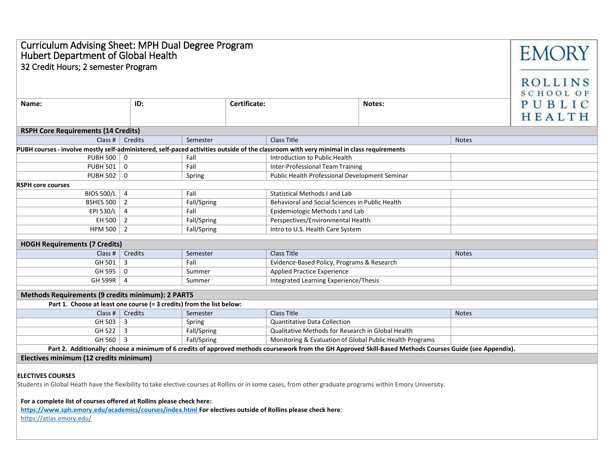| Curriculum Advising Sheet: MPH Dual Degree Program<br><b>EMORY</b><br>Hubert Department of Global Health<br>32 Credit Hours; 2 semester Program<br>ROLLINS<br><b>SCHOOL OF</b> |                                                                                             |                  |                                                   |                                                 |  |              |                  |
|--------------------------------------------------------------------------------------------------------------------------------------------------------------------------------|---------------------------------------------------------------------------------------------|------------------|---------------------------------------------------|-------------------------------------------------|--|--------------|------------------|
| Name:                                                                                                                                                                          | ID:                                                                                         | Certificate:     |                                                   | Notes:                                          |  |              | PUBLIC<br>HEALTH |
| <b>RSPH Core Requirements (14 Credits)</b>                                                                                                                                     |                                                                                             |                  |                                                   |                                                 |  |              |                  |
| Class #<br><b>Class Title</b><br>Credits<br>Semester<br><b>Notes</b>                                                                                                           |                                                                                             |                  |                                                   |                                                 |  |              |                  |
| PUBH courses - involve mostly self-administered, self-paced activities outside of the classroom with very minimal in class requirements                                        |                                                                                             |                  |                                                   |                                                 |  |              |                  |
| PUBH 500                                                                                                                                                                       | $\mathbf 0$                                                                                 | Fall             |                                                   | Introduction to Public Health                   |  |              |                  |
| PUBH 501                                                                                                                                                                       | $\mathbf 0$                                                                                 | Fall             |                                                   | Inter-Professional Team Training                |  |              |                  |
| PUBH 502 0                                                                                                                                                                     |                                                                                             | Spring           |                                                   | Public Health Professional Development Seminar  |  |              |                  |
| <b>RSPH core courses</b>                                                                                                                                                       |                                                                                             |                  |                                                   |                                                 |  |              |                  |
| BIOS 500/L                                                                                                                                                                     | $\overline{4}$                                                                              | Fall             |                                                   | <b>Statistical Methods I and Lab</b>            |  |              |                  |
| <b>BSHES 500</b>                                                                                                                                                               | 2                                                                                           | Fall/Spring      |                                                   | Behavioral and Social Sciences in Public Health |  |              |                  |
| EPI 530/L                                                                                                                                                                      | $\overline{4}$                                                                              | Fall             |                                                   | Epidemiologic Methods I and Lab                 |  |              |                  |
| EH 500                                                                                                                                                                         | 2                                                                                           | Fall/Spring      |                                                   | Perspectives/Environmental Health               |  |              |                  |
| HPM 500 $\vert$ 2                                                                                                                                                              |                                                                                             | Fall/Spring      |                                                   | Intro to U.S. Health Care System                |  |              |                  |
| <b>HDGH Requirements (7 Credits)</b>                                                                                                                                           |                                                                                             |                  |                                                   |                                                 |  |              |                  |
| Class #                                                                                                                                                                        | Credits                                                                                     |                  |                                                   | Class Title                                     |  | <b>Notes</b> |                  |
| GH 501                                                                                                                                                                         | 3                                                                                           | Semester<br>Fall |                                                   | Evidence-Based Policy, Programs & Research      |  |              |                  |
| GH 595                                                                                                                                                                         | 0                                                                                           | Summer           |                                                   | <b>Applied Practice Experience</b>              |  |              |                  |
| GH 599R   4                                                                                                                                                                    |                                                                                             | Summer           |                                                   | Integrated Learning Experience/Thesis           |  |              |                  |
|                                                                                                                                                                                |                                                                                             |                  |                                                   |                                                 |  |              |                  |
| Methods Requirements (9 credits minimum): 2 PARTS                                                                                                                              |                                                                                             |                  |                                                   |                                                 |  |              |                  |
| Part 1. Choose at least one course (= 3 credits) from the list below:                                                                                                          |                                                                                             |                  |                                                   |                                                 |  |              |                  |
| Class #                                                                                                                                                                        | Credits                                                                                     | Semester         |                                                   | Class Title                                     |  | <b>Notes</b> |                  |
| GH 503                                                                                                                                                                         | 3                                                                                           | Spring           |                                                   | Quantitative Data Collection                    |  |              |                  |
| GH 522 $\vert$ 3                                                                                                                                                               |                                                                                             | Fall/Spring      | Qualitative Methods for Research in Global Health |                                                 |  |              |                  |
|                                                                                                                                                                                | GH 560 $\vert$ 3<br>Fall/Spring<br>Monitoring & Evaluation of Global Public Health Programs |                  |                                                   |                                                 |  |              |                  |
| Part 2. Additionally: choose a minimum of 6 credits of approved methods coursework from the GH Approved Skill-Based Methods Courses Guide (see Appendix).                      |                                                                                             |                  |                                                   |                                                 |  |              |                  |
| Electives minimum (12 credits minimum)                                                                                                                                         |                                                                                             |                  |                                                   |                                                 |  |              |                  |
| <b>ELECTIVES COURSES</b>                                                                                                                                                       |                                                                                             |                  |                                                   |                                                 |  |              |                  |
| Students in Global Heath have the flexibility to take elective courses at Rollins or in some cases, from other graduate programs within Emory University.                      |                                                                                             |                  |                                                   |                                                 |  |              |                  |
| For a complete list of courses offered at Rollins please check here:                                                                                                           |                                                                                             |                  |                                                   |                                                 |  |              |                  |

**<https://www.sph.emory.edu/academics/courses/index.html> For electives outside of Rollins please check here**:

<https://atlas.emory.edu/>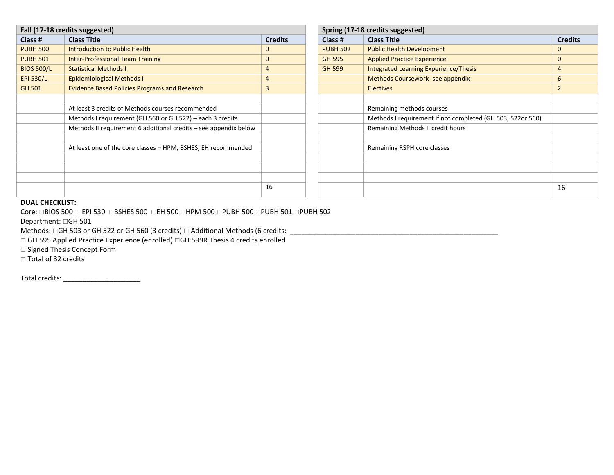| Fall (17-18 credits suggested) |                                                                  |                | Spring (17-18 credits suggested) |                                                            |                |  |
|--------------------------------|------------------------------------------------------------------|----------------|----------------------------------|------------------------------------------------------------|----------------|--|
| Class #                        | <b>Class Title</b>                                               | <b>Credits</b> | Class #                          | <b>Class Title</b>                                         | <b>Credits</b> |  |
| <b>PUBH 500</b>                | Introduction to Public Health                                    | 0              | <b>PUBH 502</b>                  | <b>Public Health Development</b>                           | 0              |  |
| <b>PUBH 501</b>                | <b>Inter-Professional Team Training</b>                          | 0              | <b>GH 595</b>                    | <b>Applied Practice Experience</b>                         | $\mathbf{0}$   |  |
| <b>BIOS 500/L</b>              | <b>Statistical Methods I</b>                                     | 4              | <b>GH 599</b>                    | Integrated Learning Experience/Thesis                      | 4              |  |
| <b>EPI 530/L</b>               | <b>Epidemiological Methods I</b>                                 | 4              |                                  | Methods Coursework-see appendix                            | 6              |  |
| <b>GH 501</b>                  | <b>Evidence Based Policies Programs and Research</b>             | 3              |                                  | <b>Electives</b>                                           | $\overline{2}$ |  |
|                                |                                                                  |                |                                  |                                                            |                |  |
|                                | At least 3 credits of Methods courses recommended                |                |                                  | Remaining methods courses                                  |                |  |
|                                | Methods I requirement (GH 560 or GH 522) – each 3 credits        |                |                                  | Methods I requirement if not completed (GH 503, 522or 560) |                |  |
|                                | Methods II requirement 6 additional credits - see appendix below |                |                                  | Remaining Methods II credit hours                          |                |  |
|                                |                                                                  |                |                                  |                                                            |                |  |
|                                | At least one of the core classes - HPM, BSHES, EH recommended    |                |                                  | Remaining RSPH core classes                                |                |  |
|                                |                                                                  |                |                                  |                                                            |                |  |
|                                |                                                                  |                |                                  |                                                            |                |  |
|                                |                                                                  |                |                                  |                                                            |                |  |
|                                |                                                                  | 16             |                                  |                                                            | 16             |  |
|                                |                                                                  |                |                                  |                                                            |                |  |

|                |                 | Spring (17-18 credits suggested)                           |
|----------------|-----------------|------------------------------------------------------------|
| <b>Credits</b> | Class #         | <b>Class Title</b>                                         |
|                | <b>PUBH 502</b> | <b>Public Health Development</b>                           |
|                | <b>GH 595</b>   | <b>Applied Practice Experience</b>                         |
|                | <b>GH 599</b>   | <b>Integrated Learning Experience/Thesis</b>               |
|                |                 | Methods Coursework- see appendix                           |
|                |                 | <b>Electives</b>                                           |
|                |                 |                                                            |
|                |                 | Remaining methods courses                                  |
|                |                 | Methods I requirement if not completed (GH 503, 522or 560) |
|                |                 | Remaining Methods II credit hours                          |
|                |                 |                                                            |
|                |                 | Remaining RSPH core classes                                |
|                |                 |                                                            |
|                |                 |                                                            |
|                |                 |                                                            |
|                |                 |                                                            |

## **DUAL CHECKLIST:**

Core: □BIOS 500 □EPI 530 □BSHES 500 □EH 500 □HPM 500 □PUBH 500 □PUBH 501 □PUBH 502

Department: GH 501

Methods: GH 503 or GH 522 or GH 560 (3 credits) Additional Methods (6 credits: \_\_\_\_\_\_\_\_\_\_\_\_\_\_\_\_\_\_\_\_\_\_\_\_\_\_\_\_\_\_\_\_\_\_\_\_\_\_\_\_\_\_\_\_\_\_\_\_\_\_\_\_\_\_

□ GH 595 Applied Practice Experience (enrolled) □GH 599R Thesis 4 credits enrolled

□ Signed Thesis Concept Form

□ Total of 32 credits

Total credits: \_\_\_\_\_\_\_\_\_\_\_\_\_\_\_\_\_\_\_\_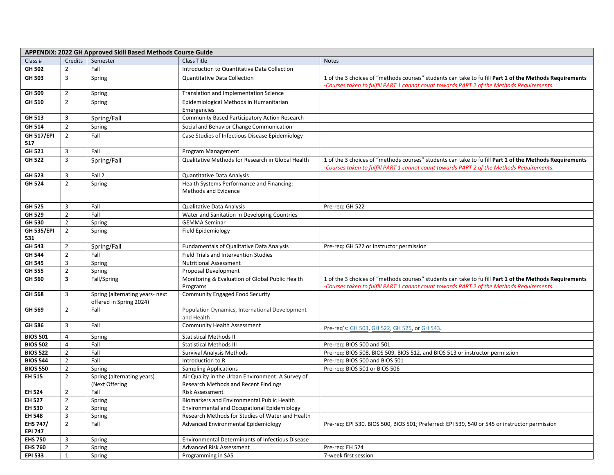| APPENDIX: 2022 GH Approved Skill Based Methods Course Guide |                                  |                                                            |                                                                      |                                                                                                                                                                                                      |  |
|-------------------------------------------------------------|----------------------------------|------------------------------------------------------------|----------------------------------------------------------------------|------------------------------------------------------------------------------------------------------------------------------------------------------------------------------------------------------|--|
| Class #                                                     | Credits                          | Semester                                                   | Class Title                                                          | <b>Notes</b>                                                                                                                                                                                         |  |
| GH 502                                                      | $\overline{2}$                   | Fall                                                       | Introduction to Quantitative Data Collection                         |                                                                                                                                                                                                      |  |
| GH 503                                                      | 3                                | Spring                                                     | <b>Quantitative Data Collection</b>                                  | 1 of the 3 choices of "methods courses" students can take to fulfill Part 1 of the Methods Requirements                                                                                              |  |
|                                                             |                                  |                                                            |                                                                      | -Courses taken to fulfill PART 1 cannot count towards PART 2 of the Methods Requirements.                                                                                                            |  |
| GH 509                                                      | $\overline{2}$                   | Spring                                                     | Translation and Implementation Science                               |                                                                                                                                                                                                      |  |
| GH 510                                                      | $\overline{2}$                   | Spring                                                     | Epidemiological Methods in Humanitarian                              |                                                                                                                                                                                                      |  |
|                                                             |                                  |                                                            | Emergencies                                                          |                                                                                                                                                                                                      |  |
| GH 513                                                      | 3                                | Spring/Fall                                                | Community Based Participatory Action Research                        |                                                                                                                                                                                                      |  |
| GH 514                                                      | $\overline{2}$                   | Spring                                                     | Social and Behavior Change Communication                             |                                                                                                                                                                                                      |  |
| <b>GH 517/EPI</b>                                           | $\overline{2}$                   | Fall                                                       | Case Studies of Infectious Disease Epidemiology                      |                                                                                                                                                                                                      |  |
| 517                                                         |                                  |                                                            |                                                                      |                                                                                                                                                                                                      |  |
| GH 521                                                      | 3                                | Fall                                                       | Program Management                                                   |                                                                                                                                                                                                      |  |
| GH 522                                                      | 3                                | Spring/Fall                                                | Qualitative Methods for Research in Global Health                    | 1 of the 3 choices of "methods courses" students can take to fulfill Part 1 of the Methods Requirements<br>-Courses taken to fulfill PART 1 cannot count towards PART 2 of the Methods Requirements. |  |
| <b>GH 523</b>                                               | 3                                | Fall 2                                                     | Quantitative Data Analysis                                           |                                                                                                                                                                                                      |  |
| <b>GH 524</b>                                               | $\overline{2}$                   | Spring                                                     | Health Systems Performance and Financing:                            |                                                                                                                                                                                                      |  |
|                                                             |                                  |                                                            | Methods and Evidence                                                 |                                                                                                                                                                                                      |  |
|                                                             |                                  |                                                            |                                                                      |                                                                                                                                                                                                      |  |
| <b>GH 525</b>                                               | 3                                | Fall                                                       | Qualitative Data Analysis                                            | Pre-req: GH 522                                                                                                                                                                                      |  |
| GH 529<br>GH 530                                            | $\overline{2}$<br>$\overline{2}$ | Fall                                                       | Water and Sanitation in Developing Countries<br><b>GEMMA Seminar</b> |                                                                                                                                                                                                      |  |
| <b>GH 535/EPI</b>                                           | $\overline{2}$                   | Spring                                                     |                                                                      |                                                                                                                                                                                                      |  |
| 531                                                         |                                  | Spring                                                     | Field Epidemiology                                                   |                                                                                                                                                                                                      |  |
| GH 543                                                      | $\overline{2}$                   | Spring/Fall                                                | Fundamentals of Qualitative Data Analysis                            | Pre-req: GH 522 or Instructor permission                                                                                                                                                             |  |
| <b>GH 544</b>                                               | $\overline{2}$                   | Fall                                                       | Field Trials and Intervention Studies                                |                                                                                                                                                                                                      |  |
| <b>GH 545</b>                                               | 3                                | Spring                                                     | <b>Nutritional Assessment</b>                                        |                                                                                                                                                                                                      |  |
| <b>GH 555</b>                                               | $\overline{2}$                   | Spring                                                     | Proposal Development                                                 |                                                                                                                                                                                                      |  |
| GH 560                                                      | $\overline{\mathbf{3}}$          | Fall/Spring                                                | Monitoring & Evaluation of Global Public Health                      | 1 of the 3 choices of "methods courses" students can take to fulfill Part 1 of the Methods Requirements                                                                                              |  |
|                                                             |                                  |                                                            | Programs                                                             | -Courses taken to fulfill PART 1 cannot count towards PART 2 of the Methods Requirements.                                                                                                            |  |
| <b>GH 568</b>                                               | 3                                | Spring (alternating years- next<br>offered in Spring 2024) | <b>Community Engaged Food Security</b>                               |                                                                                                                                                                                                      |  |
| GH 569                                                      | $2^{\circ}$                      | Fall                                                       | Population Dynamics, International Development<br>and Health         |                                                                                                                                                                                                      |  |
| GH 586                                                      | 3                                | Fall                                                       | <b>Community Health Assessment</b>                                   | Pre-req's: GH 503, GH 522, GH 525, or GH 543.                                                                                                                                                        |  |
| <b>BIOS 501</b>                                             | 4                                | Spring                                                     | <b>Statistical Methods II</b>                                        |                                                                                                                                                                                                      |  |
| <b>BIOS 502</b>                                             | 4                                | Fall                                                       | <b>Statistical Methods III</b>                                       | Pre-req: BIOS 500 and 501                                                                                                                                                                            |  |
| <b>BIOS 522</b>                                             | $\overline{2}$                   | Fall                                                       | <b>Survival Analysis Methods</b>                                     | Pre-req: BIOS 508, BIOS 509, BIOS 512, and BIOS 513 or instructor permission                                                                                                                         |  |
| <b>BIOS 544</b>                                             | $\overline{2}$                   | Fall                                                       | Introduction to R                                                    | Pre-req: BIOS 500 and BIOS 501                                                                                                                                                                       |  |
| <b>BIOS 550</b>                                             | $\overline{2}$                   | Spring                                                     | <b>Sampling Applications</b>                                         | Pre-req: BIOS 501 or BIOS 506                                                                                                                                                                        |  |
| EH 515                                                      | $\overline{2}$                   | Spring (alternating years)                                 | Air Quality in the Urban Environment: A Survey of                    |                                                                                                                                                                                                      |  |
|                                                             |                                  | (Next Offering                                             | Research Methods and Recent Findings                                 |                                                                                                                                                                                                      |  |
| <b>EH 524</b>                                               | $\overline{2}$                   | Fall                                                       | <b>Risk Assessment</b>                                               |                                                                                                                                                                                                      |  |
| <b>EH 527</b>                                               | $\overline{2}$                   | Spring                                                     | Biomarkers and Environmental Public Health                           |                                                                                                                                                                                                      |  |
| EH 530                                                      | $\overline{2}$                   | Spring                                                     | Environmental and Occupational Epidemiology                          |                                                                                                                                                                                                      |  |
| <b>EH 548</b>                                               | 3                                | Spring                                                     | Research Methods for Studies of Water and Health                     |                                                                                                                                                                                                      |  |
| EHS 747/<br><b>EPI 747</b>                                  | $2^{\circ}$                      | Fall                                                       | Advanced Environmental Epidemiology                                  | Pre-req: EPI 530, BIOS 500, BIOS 501; Preferred: EPI 539, 540 or 545 or instructor permission                                                                                                        |  |
| <b>EHS 750</b>                                              | 3                                | Spring                                                     | Environmental Determinants of Infectious Disease                     |                                                                                                                                                                                                      |  |
| <b>EHS 760</b>                                              | $\overline{2}$                   | Spring                                                     | Advanced Risk Assessment                                             | Pre-req: EH 524                                                                                                                                                                                      |  |
| <b>EPI 533</b>                                              | $\mathbf{1}$                     | Spring                                                     | Programming in SAS                                                   | 7-week first session                                                                                                                                                                                 |  |